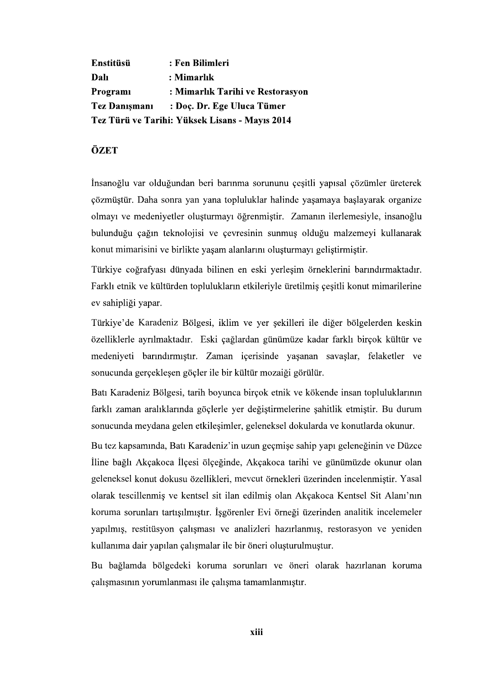Enstitüsü : Fen Bilimleri **Dalı** : Mimarlık Programi : Mimarlık Tarihi ve Restorasyon **Tez Danismani** : Doc. Dr. Ege Uluca Tümer Tez Türü ve Tarihi: Yüksek Lisans - Mayıs 2014

## ÖZET

İnsanoğlu var olduğundan beri barınma sorununu çeşitli yapısal çözümler üreterek çözmüştür. Daha sonra yan yana topluluklar halinde yaşamaya başlayarak organize olmayı ve medeniyetler oluşturmayı öğrenmiştir. Zamanın ilerlemesiyle, insanoğlu bulunduğu çağın teknolojisi ve çevresinin sunmuş olduğu malzemeyi kullanarak

konut mimarisini ve birlikte yaşam alanlarını oluşturmayı geliştirmiştir.<br>Türkiye coğrafyası dünyada bilinen en eski yerleşim örneklerini barındırmaktadır.<br>Farklı etnik ve kültürden toplulukların etkileriyle üretilmiş çeşi

özelliklerle ayrılmaktadır. Eski çağlardan günümüze kadar farklı birçok kültür ve medeniyeti barındırmıştır. Zaman içerisinde yaşanan savaşlar, felaketler ve sonucunda gerçekleşen göçler ile bir kültür mozaiği görülür.

Batı Karadeniz Bölgesi, tarih boyunca bircok etnik ve kökende insan topluluklarının farklı zaman aralıklarında göçlerle yer değiştirmelerine şahitlik etmiştir. Bu durum sonucunda meydana gelen etkileşimler, geleneksel dokularda ve konutlarda okunur.

Bu tez kapsamında, Batı Karadeniz'in uzun geçmişe sahip yapı geleneğinin ve Düzce Iline bağlı Akcakoca İlçesi ölçeğinde, Akcakoca tarihi ve günümüzde okunur olan geleneksel konut dokusu özellikleri, mevcut örnekleri üzerinden incelenmiştir. Yasal olarak tescillenmiş ve kentsel sit ilan edilmiş olan Akçakoca Kentsel Sit Alanı'nın koruma sorunları tartışılmıştır. İşgörenler Evi örneği üzerinden analitik incelemeler yapılmış, restitüsyon çalışması ve analizleri hazırlanmış, restorasyon ve yeniden kullanıma dair yapılan çalışmalar ile bir öneri oluşturulmuştur.

Bu bağlamda bölgedeki koruma sorunları ve öneri olarak hazırlanan koruma çalışmasının yorumlanması ile çalışma tamamlanmıştır.